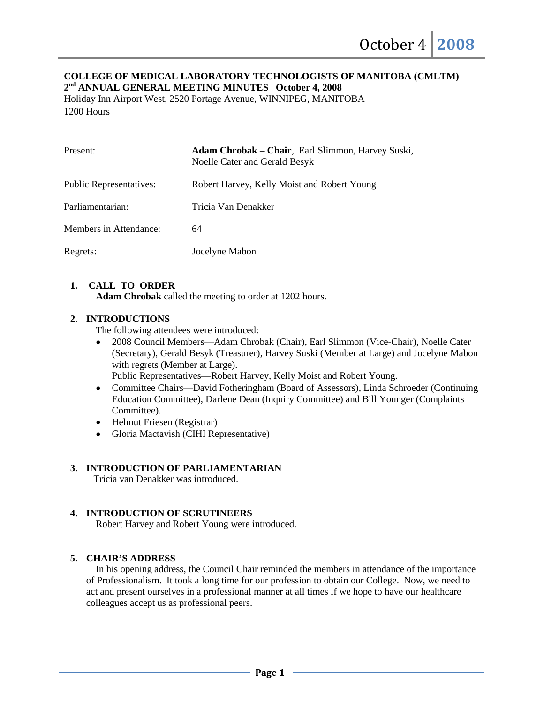#### **COLLEGE OF MEDICAL LABORATORY TECHNOLOGISTS OF MANITOBA (CMLTM) 2nd ANNUAL GENERAL MEETING MINUTES October 4, 2008**

Holiday Inn Airport West, 2520 Portage Avenue, WINNIPEG, MANITOBA 1200 Hours

| Present:                       | Adam Chrobak – Chair, Earl Slimmon, Harvey Suski,<br>Noelle Cater and Gerald Besyk |
|--------------------------------|------------------------------------------------------------------------------------|
| <b>Public Representatives:</b> | Robert Harvey, Kelly Moist and Robert Young                                        |
| Parliamentarian:               | Tricia Van Denakker                                                                |
| Members in Attendance:         | 64                                                                                 |
| Regrets:                       | Jocelyne Mabon                                                                     |

# **1. CALL TO ORDER**

**Adam Chrobak** called the meeting to order at 1202 hours.

### **2. INTRODUCTIONS**

The following attendees were introduced:

• 2008 Council Members—Adam Chrobak (Chair), Earl Slimmon (Vice-Chair), Noelle Cater (Secretary), Gerald Besyk (Treasurer), Harvey Suski (Member at Large) and Jocelyne Mabon with regrets (Member at Large).

Public Representatives—Robert Harvey, Kelly Moist and Robert Young.

- Committee Chairs—David Fotheringham (Board of Assessors), Linda Schroeder (Continuing Education Committee), Darlene Dean (Inquiry Committee) and Bill Younger (Complaints Committee).
- Helmut Friesen (Registrar)
- Gloria Mactavish (CIHI Representative)

### **3. INTRODUCTION OF PARLIAMENTARIAN**

Tricia van Denakker was introduced.

# **4. INTRODUCTION OF SCRUTINEERS**

Robert Harvey and Robert Young were introduced.

### **5. CHAIR'S ADDRESS**

In his opening address, the Council Chair reminded the members in attendance of the importance of Professionalism. It took a long time for our profession to obtain our College. Now, we need to act and present ourselves in a professional manner at all times if we hope to have our healthcare colleagues accept us as professional peers.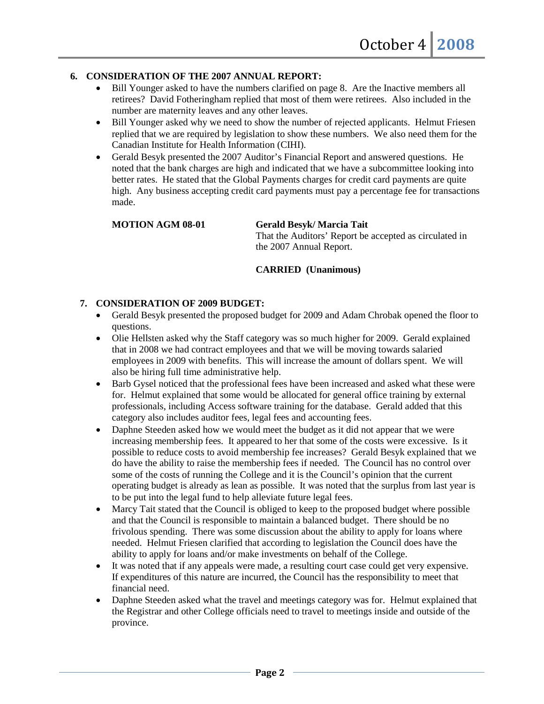#### **6. CONSIDERATION OF THE 2007 ANNUAL REPORT:**

- Bill Younger asked to have the numbers clarified on page 8. Are the Inactive members all retirees? David Fotheringham replied that most of them were retirees. Also included in the number are maternity leaves and any other leaves.
- Bill Younger asked why we need to show the number of rejected applicants. Helmut Friesen replied that we are required by legislation to show these numbers. We also need them for the Canadian Institute for Health Information (CIHI).
- Gerald Besyk presented the 2007 Auditor's Financial Report and answered questions. He noted that the bank charges are high and indicated that we have a subcommittee looking into better rates. He stated that the Global Payments charges for credit card payments are quite high. Any business accepting credit card payments must pay a percentage fee for transactions made.

#### **MOTION AGM 08-01 Gerald Besyk/ Marcia Tait**

That the Auditors' Report be accepted as circulated in the 2007 Annual Report.

### **CARRIED (Unanimous)**

#### **7. CONSIDERATION OF 2009 BUDGET:**

- Gerald Besyk presented the proposed budget for 2009 and Adam Chrobak opened the floor to questions.
- Olie Hellsten asked why the Staff category was so much higher for 2009. Gerald explained that in 2008 we had contract employees and that we will be moving towards salaried employees in 2009 with benefits. This will increase the amount of dollars spent. We will also be hiring full time administrative help.
- Barb Gysel noticed that the professional fees have been increased and asked what these were for. Helmut explained that some would be allocated for general office training by external professionals, including Access software training for the database. Gerald added that this category also includes auditor fees, legal fees and accounting fees.
- Daphne Steeden asked how we would meet the budget as it did not appear that we were increasing membership fees. It appeared to her that some of the costs were excessive. Is it possible to reduce costs to avoid membership fee increases? Gerald Besyk explained that we do have the ability to raise the membership fees if needed. The Council has no control over some of the costs of running the College and it is the Council's opinion that the current operating budget is already as lean as possible. It was noted that the surplus from last year is to be put into the legal fund to help alleviate future legal fees.
- Marcy Tait stated that the Council is obliged to keep to the proposed budget where possible and that the Council is responsible to maintain a balanced budget. There should be no frivolous spending. There was some discussion about the ability to apply for loans where needed. Helmut Friesen clarified that according to legislation the Council does have the ability to apply for loans and/or make investments on behalf of the College.
- It was noted that if any appeals were made, a resulting court case could get very expensive. If expenditures of this nature are incurred, the Council has the responsibility to meet that financial need.
- Daphne Steeden asked what the travel and meetings category was for. Helmut explained that the Registrar and other College officials need to travel to meetings inside and outside of the province.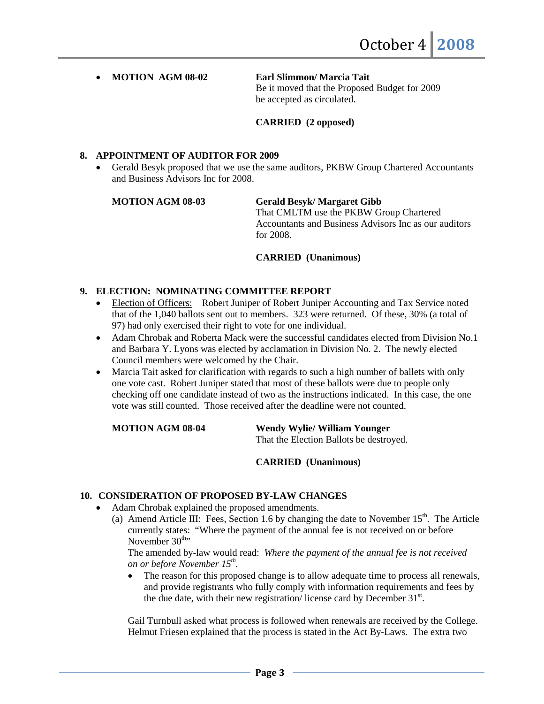#### • **MOTION AGM 08-02 Earl Slimmon/ Marcia Tait**

Be it moved that the Proposed Budget for 2009 be accepted as circulated.

**CARRIED (2 opposed)**

#### **8. APPOINTMENT OF AUDITOR FOR 2009**

• Gerald Besyk proposed that we use the same auditors, PKBW Group Chartered Accountants and Business Advisors Inc for 2008.

#### **MOTION AGM 08-03 Gerald Besyk/ Margaret Gibb**

That CMLTM use the PKBW Group Chartered Accountants and Business Advisors Inc as our auditors for 2008.

#### **CARRIED (Unanimous)**

# **9. ELECTION: NOMINATING COMMITTEE REPORT**

- Election of Officers: Robert Juniper of Robert Juniper Accounting and Tax Service noted that of the 1,040 ballots sent out to members. 323 were returned. Of these, 30% (a total of 97) had only exercised their right to vote for one individual.
- Adam Chrobak and Roberta Mack were the successful candidates elected from Division No.1 and Barbara Y. Lyons was elected by acclamation in Division No. 2. The newly elected Council members were welcomed by the Chair.
- Marcia Tait asked for clarification with regards to such a high number of ballets with only one vote cast. Robert Juniper stated that most of these ballots were due to people only checking off one candidate instead of two as the instructions indicated. In this case, the one vote was still counted. Those received after the deadline were not counted.

**MOTION AGM 08-04 Wendy Wylie/ William Younger** That the Election Ballots be destroyed.

**CARRIED (Unanimous)**

## **10. CONSIDERATION OF PROPOSED BY-LAW CHANGES**

- Adam Chrobak explained the proposed amendments.
	- (a) Amend Article III: Fees, Section 1.6 by changing the date to November  $15<sup>th</sup>$ . The Article currently states: "Where the payment of the annual fee is not received on or before November  $30<sup>th</sup>$

The amended by-law would read: *Where the payment of the annual fee is not received on or before November 15th.*

The reason for this proposed change is to allow adequate time to process all renewals, and provide registrants who fully comply with information requirements and fees by the due date, with their new registration/license card by December 31st.

Gail Turnbull asked what process is followed when renewals are received by the College. Helmut Friesen explained that the process is stated in the Act By-Laws. The extra two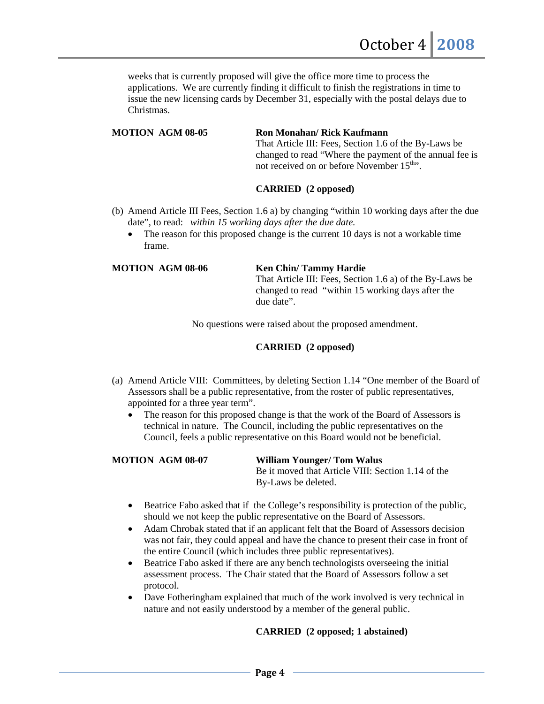weeks that is currently proposed will give the office more time to process the applications. We are currently finding it difficult to finish the registrations in time to issue the new licensing cards by December 31, especially with the postal delays due to Christmas.

**MOTION AGM 08-05 Ron Monahan/ Rick Kaufmann**

That Article III: Fees, Section 1.6 of the By-Laws be changed to read "Where the payment of the annual fee is not received on or before November 15<sup>th</sup>.

# **CARRIED (2 opposed)**

- (b) Amend Article III Fees, Section 1.6 a) by changing "within 10 working days after the due date", to read: *within 15 working days after the due date.*
	- The reason for this proposed change is the current 10 days is not a workable time frame.

#### **MOTION AGM 08-06 Ken Chin/ Tammy Hardie**

That Article III: Fees, Section 1.6 a) of the By-Laws be changed to read "within 15 working days after the due date".

No questions were raised about the proposed amendment.

# **CARRIED (2 opposed)**

- (a) Amend Article VIII: Committees, by deleting Section 1.14 "One member of the Board of Assessors shall be a public representative, from the roster of public representatives, appointed for a three year term".
	- The reason for this proposed change is that the work of the Board of Assessors is technical in nature. The Council, including the public representatives on the Council, feels a public representative on this Board would not be beneficial.

# **MOTION AGM 08-07 William Younger/ Tom Walus**

Be it moved that Article VIII: Section 1.14 of the By-Laws be deleted.

- Beatrice Fabo asked that if the College's responsibility is protection of the public, should we not keep the public representative on the Board of Assessors.
- Adam Chrobak stated that if an applicant felt that the Board of Assessors decision was not fair, they could appeal and have the chance to present their case in front of the entire Council (which includes three public representatives).
- Beatrice Fabo asked if there are any bench technologists overseeing the initial assessment process. The Chair stated that the Board of Assessors follow a set protocol.
- Dave Fotheringham explained that much of the work involved is very technical in nature and not easily understood by a member of the general public.

# **CARRIED (2 opposed; 1 abstained)**